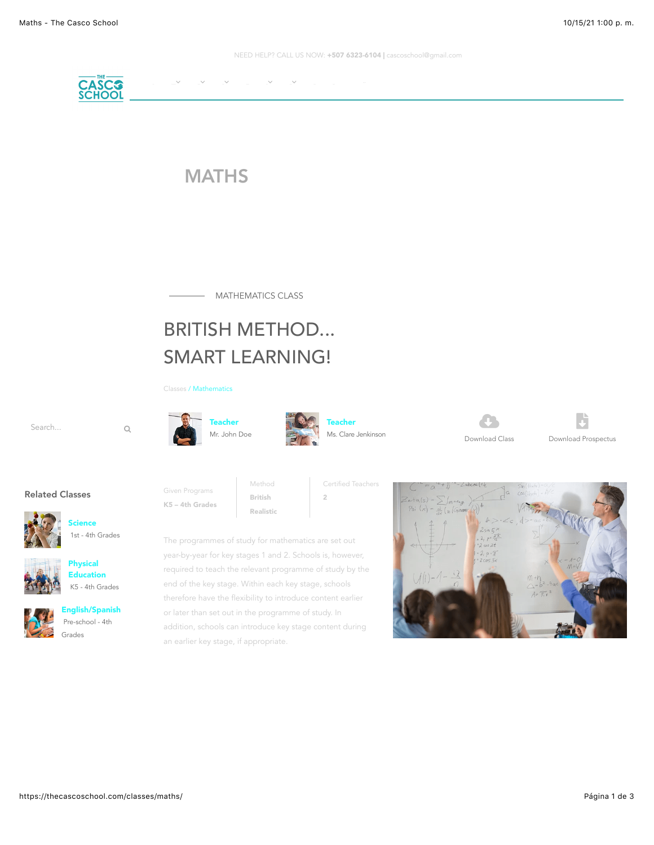NEED HELP? CALL US NOW: +507 6323-6104 | cascoschool@gmail.com



## **MATHS**

- MATHEMATICS CLASS

# BRITISH METHOD... SMART LEARNING!

[Classes](https://thecascoschool.com/academics) / Mathematics

Given Programs











2



Download Prospectus "

Related Classes



1st - 4th Grades







### [English/Spanish](https://thecascoschool.com/classes/english-spanish/) Pre-school - 4th Grades

K5 – 4th Grades Realistic The programmes of study for mathematics are set out

year-by-year for key stages 1 and 2. Schools is, however, required to teach the relevant programme of study by the end of the key stage. Within each key stage, schools therefore have the flexibility to introduce content earlier or later than set out in the programme of study. In addition, schools can introduce key stage content during an earlier key stage, if appropriate.

Method British

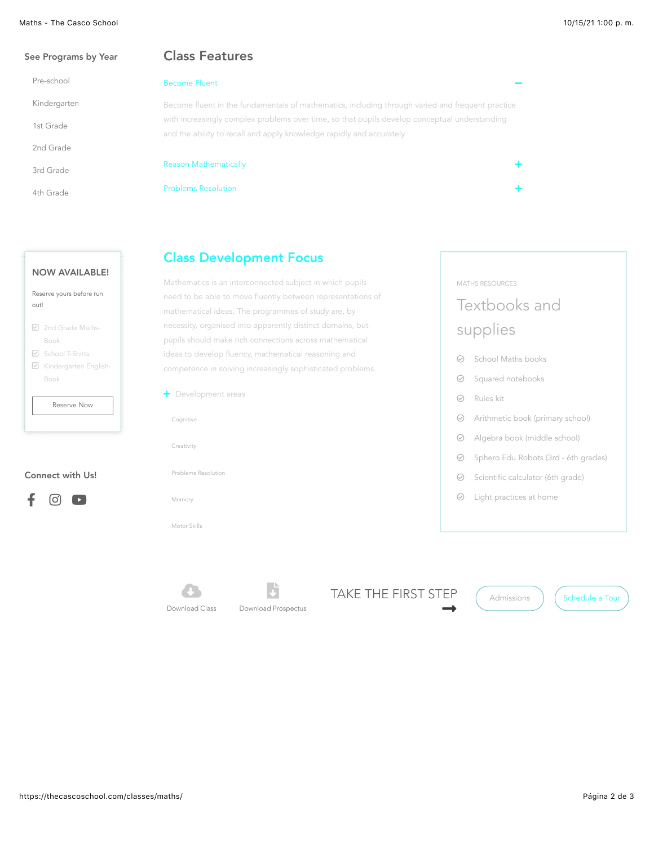#### Maths - The Casco School **10/15/21 1:00 p.m.**

| See Programs by Year | <b>Class Features</b>                                                                            |   |  |  |  |
|----------------------|--------------------------------------------------------------------------------------------------|---|--|--|--|
| Pre-school           | <b>Become Fluent</b>                                                                             |   |  |  |  |
| Kindergarten         | Become fluent in the fundamentals of mathematics, including through varied and frequent practice |   |  |  |  |
| 1st Grade            | with increasingly complex problems over time, so that pupils develop conceptual understanding    |   |  |  |  |
|                      | and the ability to recall and apply knowledge rapidly and accurately                             |   |  |  |  |
| 2nd Grade            |                                                                                                  |   |  |  |  |
| 3rd Grade            | <b>Reason Mathematically</b>                                                                     | ÷ |  |  |  |
| 4th Grade            | <b>Problems Resolution</b>                                                                       | ٠ |  |  |  |
|                      |                                                                                                  |   |  |  |  |
|                      |                                                                                                  |   |  |  |  |

### NOW AVAILABLE!

| Reserve yours before run<br>out! |                                                        |  |  |  |
|----------------------------------|--------------------------------------------------------|--|--|--|
|                                  | <b>▽</b> 2nd Grade Maths-<br>Book<br>□ School T-Shirts |  |  |  |
|                                  | $\boxtimes$ Kindergarten English-<br>Book              |  |  |  |
| <b>Reserve Now</b>               |                                                        |  |  |  |
|                                  |                                                        |  |  |  |

#### Connect with Us!

|--|--|

### Class Development Focus

Mathematics is an interconnected subject in which pupils need to be able to move fluently between representations of mathematical ideas. The programmes of study are, by necessity, organised into apparently distinct domains, but pupils should make rich connections across mathematical ideas to develop fluency, mathematical reasoning and competence in solving increasingly sophisticated problems.

| + Development areas |  |
|---------------------|--|
| Cognitive           |  |
| Creativity          |  |
| Problems Resolution |  |
| Memory              |  |
| Motor Skills        |  |

### MATHS RESOURCES

# Textbooks and supplies

- $\odot$  School Maths books
- ◎ Squared notebooks
- $\oslash$  Rules kit
- $\odot$  Arithmetic book (primary school)
- $\odot$  Algebra book (middle school)
- $\odot$  Sphero Edu Robots (3rd 6th grades)
- $\odot$  Scientific calculator (6th grade)
- $\odot$  Light practices at home

Download Class  $\bullet$ 



TAKE THE FIRST STEP  $\rightarrow$ 



[Admissions](https://thecascoschool.com/admissions/) ) ([Schedule a Tour](https://thecascoschool.com/contact/)